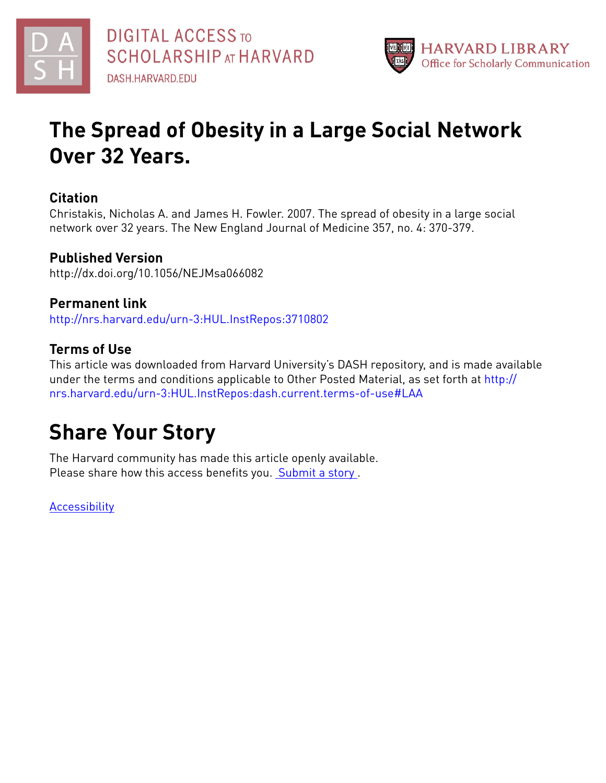



# **The Spread of Obesity in a Large Social Network Over 32 Years.**

# **Citation**

Christakis, Nicholas A. and James H. Fowler. 2007. The spread of obesity in a large social network over 32 years. The New England Journal of Medicine 357, no. 4: 370-379.

# **Published Version**

http://dx.doi.org/10.1056/NEJMsa066082

# **Permanent link**

<http://nrs.harvard.edu/urn-3:HUL.InstRepos:3710802>

# **Terms of Use**

This article was downloaded from Harvard University's DASH repository, and is made available under the terms and conditions applicable to Other Posted Material, as set forth at [http://](http://nrs.harvard.edu/urn-3:HUL.InstRepos:dash.current.terms-of-use#LAA) [nrs.harvard.edu/urn-3:HUL.InstRepos:dash.current.terms-of-use#LAA](http://nrs.harvard.edu/urn-3:HUL.InstRepos:dash.current.terms-of-use#LAA)

# **Share Your Story**

The Harvard community has made this article openly available. Please share how this access benefits you. [Submit](http://osc.hul.harvard.edu/dash/open-access-feedback?handle=&title=The%20Spread%20of%20Obesity%20in%20a%20Large%20Social%20Network%20Over%2032%20Years.&community=1/1&collection=1/2&owningCollection1/2&harvardAuthors=a195870ebfa32a7ad4cab5cd709ea40a&departmentSociology) a story.

**[Accessibility](https://dash.harvard.edu/pages/accessibility)**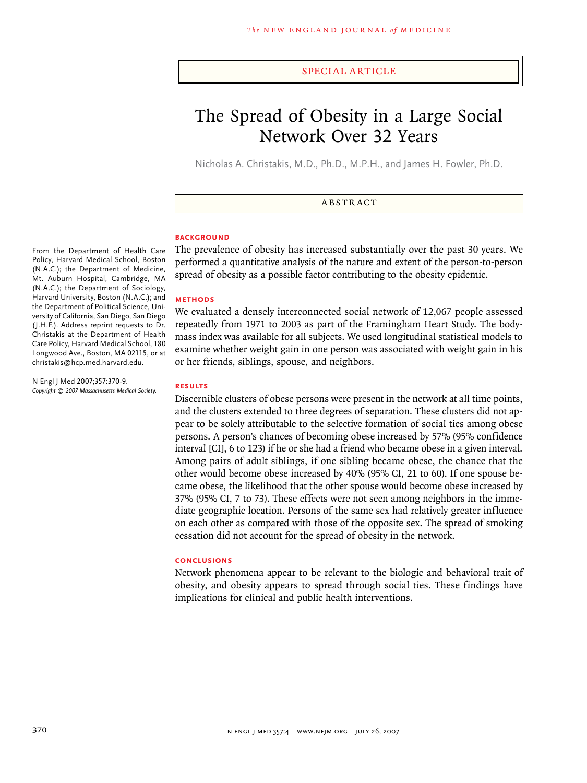### special article

# The Spread of Obesity in a Large Social Network Over 32 Years

Nicholas A. Christakis, M.D., Ph.D., M.P.H., and James H. Fowler, Ph.D.

**ABSTRACT** 

### **BACKGROUND**

The prevalence of obesity has increased substantially over the past 30 years. We performed a quantitative analysis of the nature and extent of the person-to-person spread of obesity as a possible factor contributing to the obesity epidemic.

#### **Methods**

We evaluated a densely interconnected social network of 12,067 people assessed repeatedly from 1971 to 2003 as part of the Framingham Heart Study. The bodymass index was available for all subjects. We used longitudinal statistical models to examine whether weight gain in one person was associated with weight gain in his or her friends, siblings, spouse, and neighbors.

### **Results**

Discernible clusters of obese persons were present in the network at all time points, and the clusters extended to three degrees of separation. These clusters did not appear to be solely attributable to the selective formation of social ties among obese persons. A person's chances of becoming obese increased by 57% (95% confidence interval [CI], 6 to 123) if he or she had a friend who became obese in a given interval. Among pairs of adult siblings, if one sibling became obese, the chance that the other would become obese increased by 40% (95% CI, 21 to 60). If one spouse became obese, the likelihood that the other spouse would become obese increased by 37% (95% CI, 7 to 73). These effects were not seen among neighbors in the immediate geographic location. Persons of the same sex had relatively greater influence on each other as compared with those of the opposite sex. The spread of smoking cessation did not account for the spread of obesity in the network.

#### **Conclusions**

Network phenomena appear to be relevant to the biologic and behavioral trait of obesity, and obesity appears to spread through social ties. These findings have implications for clinical and public health interventions.

From the Department of Health Care Policy, Harvard Medical School, Boston (N.A.C.); the Department of Medicine, Mt. Auburn Hospital, Cambridge, MA (N.A.C.); the Department of Sociology, Harvard University, Boston (N.A.C.); and the Department of Political Science, University of California, San Diego, San Diego (J.H.F.). Address reprint requests to Dr. Christakis at the Department of Health Care Policy, Harvard Medical School, 180 Longwood Ave., Boston, MA 02115, or at christakis@hcp.med.harvard.edu.

N Engl J Med 2007;357:370-9. *Copyright © 2007 Massachusetts Medical Society.*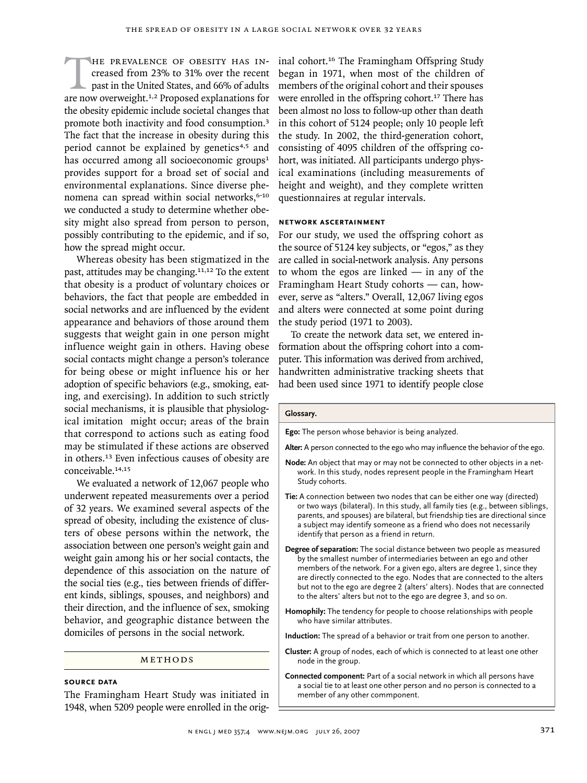HE PREVALENCE OF OBESITY HAS INcreased from 23% to 31% over the recent past in the United States, and 66% of adults are now overweight.<sup>1,2</sup> Proposed explanations for creased from 23% to 31% over the recent past in the United States, and 66% of adults the obesity epidemic include societal changes that promote both inactivity and food consumption.<sup>3</sup> The fact that the increase in obesity during this period cannot be explained by genetics<sup>4,5</sup> and has occurred among all socioeconomic groups $1$ provides support for a broad set of social and environmental explanations. Since diverse phenomena can spread within social networks,<sup>6-10</sup> we conducted a study to determine whether obesity might also spread from person to person, possibly contributing to the epidemic, and if so, how the spread might occur.

Whereas obesity has been stigmatized in the past, attitudes may be changing.<sup>11,12</sup> To the extent that obesity is a product of voluntary choices or behaviors, the fact that people are embedded in social networks and are influenced by the evident appearance and behaviors of those around them suggests that weight gain in one person might influence weight gain in others. Having obese social contacts might change a person's tolerance for being obese or might influence his or her adoption of specific behaviors (e.g., smoking, eating, and exercising). In addition to such strictly social mechanisms, it is plausible that physiological imitation might occur; areas of the brain that correspond to actions such as eating food may be stimulated if these actions are observed in others.13 Even infectious causes of obesity are conceivable.14,15

We evaluated a network of 12,067 people who underwent repeated measurements over a period of 32 years. We examined several aspects of the spread of obesity, including the existence of clusters of obese persons within the network, the association between one person's weight gain and weight gain among his or her social contacts, the dependence of this association on the nature of the social ties (e.g., ties between friends of different kinds, siblings, spouses, and neighbors) and their direction, and the influence of sex, smoking behavior, and geographic distance between the domiciles of persons in the social network.

#### METHODS

# **Source Data**

The Framingham Heart Study was initiated in 1948, when 5209 people were enrolled in the original cohort.16 The Framingham Offspring Study began in 1971, when most of the children of members of the original cohort and their spouses were enrolled in the offspring cohort.<sup>17</sup> There has been almost no loss to follow-up other than death in this cohort of 5124 people; only 10 people left the study. In 2002, the third-generation cohort, consisting of 4095 children of the offspring cohort, was initiated. All participants undergo physical examinations (including measurements of height and weight), and they complete written questionnaires at regular intervals.

### **Network Ascertainment**

For our study, we used the offspring cohort as the source of 5124 key subjects, or "egos," as they are called in social-network analysis. Any persons to whom the egos are linked — in any of the Framingham Heart Study cohorts — can, however, serve as "alters." Overall, 12,067 living egos and alters were connected at some point during the study period (1971 to 2003).

To create the network data set, we entered information about the offspring cohort into a computer. This information was derived from archived, handwritten administrative tracking sheets that had been used since 1971 to identify people close

#### **Glossary.**

**Ego:** The person whose behavior is being analyzed.

**Alter:** A person connected to the ego who may influence the behavior of the ego.

- **Node:** An object that may or may not be connected to other objects in a network. In this study, nodes represent people in the Framingham Heart Study cohorts.
- **Tie:** A connection between two nodes that can be either one way (directed) or two ways (bilateral). In this study, all family ties (e.g., between siblings, parents, and spouses) are bilateral, but friendship ties are directional since a subject may identify someone as a friend who does not necessarily identify that person as a friend in return.
- **Degree of separation:** The social distance between two people as measured by the smallest number of intermediaries between an ego and other members of the network. For a given ego, alters are degree 1, since they are directly connected to the ego. Nodes that are connected to the alters but not to the ego are degree 2 (alters' alters). Nodes that are connected to the alters' alters but not to the ego are degree 3, and so on.
- **Homophily:** The tendency for people to choose relationships with people who have similar attributes.

**Induction:** The spread of a behavior or trait from one person to another.

- **Cluster:** A group of nodes, each of which is connected to at least one other node in the group.
- **Connected component:** Part of a social network in which all persons have a social tie to at least one other person and no person is connected to a member of any other commponent.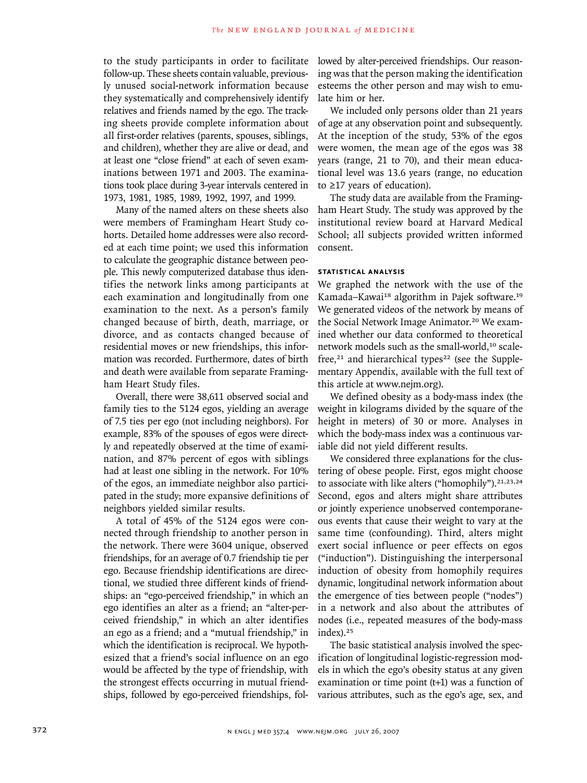to the study participants in order to facilitate follow-up. These sheets contain valuable, previously unused social-network information because they systematically and comprehensively identify relatives and friends named by the ego. The tracking sheets provide complete information about all first-order relatives (parents, spouses, siblings, and children), whether they are alive or dead, and at least one "close friend" at each of seven examinations between 1971 and 2003. The examinations took place during 3-year intervals centered in 1973, 1981, 1985, 1989, 1992, 1997, and 1999.

Many of the named alters on these sheets also were members of Framingham Heart Study cohorts. Detailed home addresses were also recorded at each time point; we used this information to calculate the geographic distance between people. This newly computerized database thus identifies the network links among participants at each examination and longitudinally from one examination to the next. As a person's family changed because of birth, death, marriage, or divorce, and as contacts changed because of residential moves or new friendships, this information was recorded. Furthermore, dates of birth and death were available from separate Framingham Heart Study files.

Overall, there were 38,611 observed social and family ties to the 5124 egos, yielding an average of 7.5 ties per ego (not including neighbors). For example, 83% of the spouses of egos were directly and repeatedly observed at the time of examination, and 87% percent of egos with siblings had at least one sibling in the network. For 10% of the egos, an immediate neighbor also participated in the study; more expansive definitions of neighbors yielded similar results.

A total of 45% of the 5124 egos were connected through friendship to another person in the network. There were 3604 unique, observed friendships, for an average of 0.7 friendship tie per ego. Because friendship identifications are directional, we studied three different kinds of friendships: an "ego-perceived friendship," in which an ego identifies an alter as a friend; an "alter-perceived friendship," in which an alter identifies an ego as a friend; and a "mutual friendship," in which the identification is reciprocal. We hypothesized that a friend's social influence on an ego would be affected by the type of friendship, with the strongest effects occurring in mutual friendships, followed by ego-perceived friendships, followed by alter-perceived friendships. Our reasoning was that the person making the identification esteems the other person and may wish to emulate him or her.

We included only persons older than 21 years of age at any observation point and subsequently. At the inception of the study, 53% of the egos were women, the mean age of the egos was 38 years (range, 21 to 70), and their mean educational level was 13.6 years (range, no education to ≥17 years of education).

The study data are available from the Framingham Heart Study. The study was approved by the institutional review board at Harvard Medical School; all subjects provided written informed consent.

## **Statistical Analysis**

We graphed the network with the use of the Kamada–Kawai<sup>18</sup> algorithm in Pajek software.<sup>19</sup> We generated videos of the network by means of the Social Network Image Animator.20 We examined whether our data conformed to theoretical network models such as the small-world,<sup>10</sup> scalefree, $21$  and hierarchical types<sup>22</sup> (see the Supplementary Appendix, available with the full text of this article at www.nejm.org).

We defined obesity as a body-mass index (the weight in kilograms divided by the square of the height in meters) of 30 or more. Analyses in which the body-mass index was a continuous variable did not yield different results.

We considered three explanations for the clustering of obese people. First, egos might choose to associate with like alters ("homophily").<sup>21,23,24</sup> Second, egos and alters might share attributes or jointly experience unobserved contemporaneous events that cause their weight to vary at the same time (confounding). Third, alters might exert social influence or peer effects on egos ("induction"). Distinguishing the interpersonal induction of obesity from homophily requires dynamic, longitudinal network information about the emergence of ties between people ("nodes") in a network and also about the attributes of nodes (i.e., repeated measures of the body-mass index).<sup>25</sup>

The basic statistical analysis involved the specification of longitudinal logistic-regression models in which the ego's obesity status at any given examination or time point (t+1) was a function of various attributes, such as the ego's age, sex, and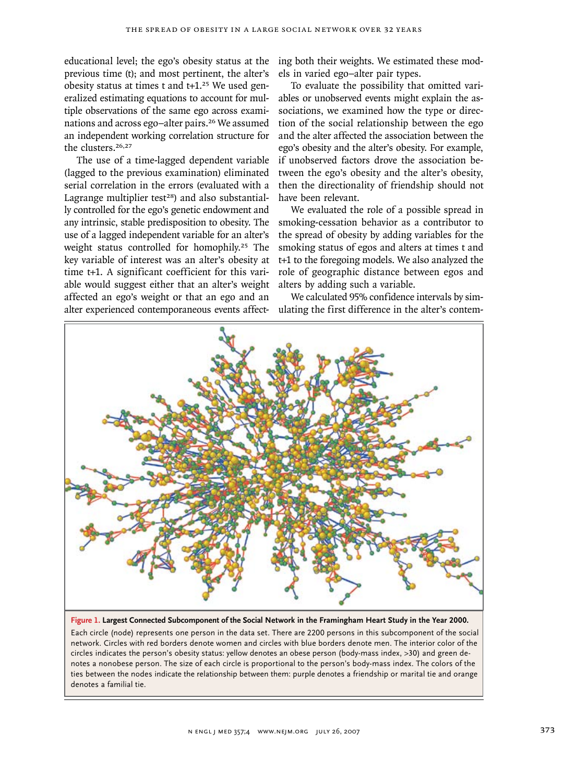educational level; the ego's obesity status at the previous time (t); and most pertinent, the alter's obesity status at times t and  $t+1.^{25}$  We used generalized estimating equations to account for multiple observations of the same ego across examinations and across ego–alter pairs.26 We assumed an independent working correlation structure for the clusters.26,27

The use of a time-lagged dependent variable (lagged to the previous examination) eliminated serial correlation in the errors (evaluated with a Lagrange multiplier test $28$ ) and also substantially controlled for the ego's genetic endowment and any intrinsic, stable predisposition to obesity. The use of a lagged independent variable for an alter's weight status controlled for homophily.<sup>25</sup> The key variable of interest was an alter's obesity at time t+1. A significant coefficient for this variable would suggest either that an alter's weight affected an ego's weight or that an ego and an alter experienced contemporaneous events affect-

ing both their weights. We estimated these models in varied ego–alter pair types.

To evaluate the possibility that omitted variables or unobserved events might explain the associations, we examined how the type or direction of the social relationship between the ego and the alter affected the association between the ego's obesity and the alter's obesity. For example, if unobserved factors drove the association between the ego's obesity and the alter's obesity, then the directionality of friendship should not have been relevant.

We evaluated the role of a possible spread in smoking-cessation behavior as a contributor to the spread of obesity by adding variables for the smoking status of egos and alters at times t and t+1 to the foregoing models. We also analyzed the role of geographic distance between egos and alters by adding such a variable.

We calculated 95% confidence intervals by simulating the first difference in the alter's contem-



**Figure 1. Largest Connected Subcomponent of the Social Network in the Framingham Heart Study in the Year 2000.**

Each circle (node) represents one person in the data set. There are 2200 persons in this subcomponent of the social network. Circles with red borders denote women and circles with blue borders denote men. The interior color of the circles indicates the person's obesity status: yellow denotes an obese person (body-mass index, >30) and green denotes a nonobese person. The size of each circle is proportional to the person's body-mass index. The colors of the ties between the nodes indicate the relationship between them: purple denotes a friendship or marital tie and orange denotes a familial tie.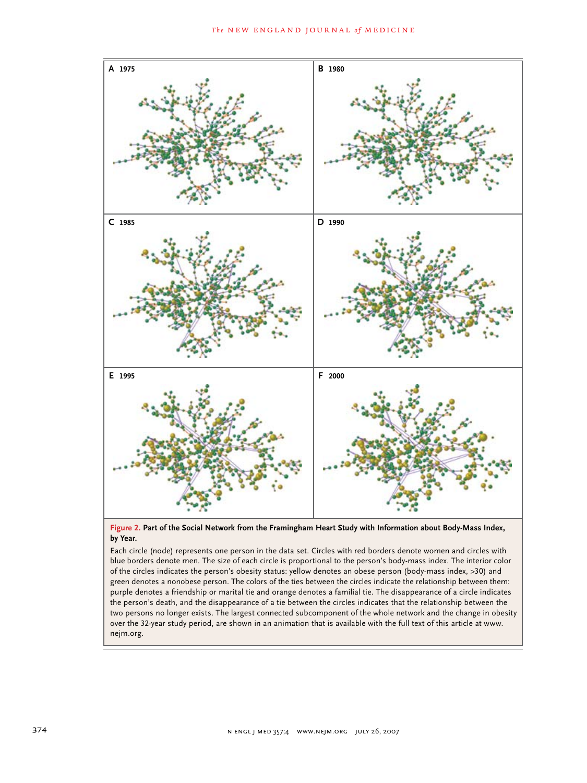

**Figure 2. Part of the Social Network from the Framingham Heart Study with Information about Body-Mass Index, by Year.**

of the cheles indicates the person's boesny status. Jenow denotes an obese person (body mass muck, 250) and green denotes a nonobese person. The colors of the ties between the circles indicate the relationship between them person in the data set. Circles with red borders den of the circles indicates the person's obesity status: yellow denotes an obese person (body-mass index, >30) and blue borders denote men. The size of each circle is proportional to the person's body-mass index. The interior color green denotes a nonobese person. The colors of the ties between the eneres mariate the relationship between them.<br>Purple denotes a friendship or marital tie and orange denotes a familial tie. The disappearance of a circle .<br>the person's death, and the disappearance of a tie between the circles indicates that the relationship between the the person's death, and the disappearance or a the between the eneres mareates that the relationship between the<br>two persons no longer exists. The largest connected subcomponent of the whole network and the change in obesi Each circle (node) represents one person in the data set. Circles with red borders denote women and circles with over the 32-year study period, are shown in an animation that is available with the full text of this article at www. nejm.org.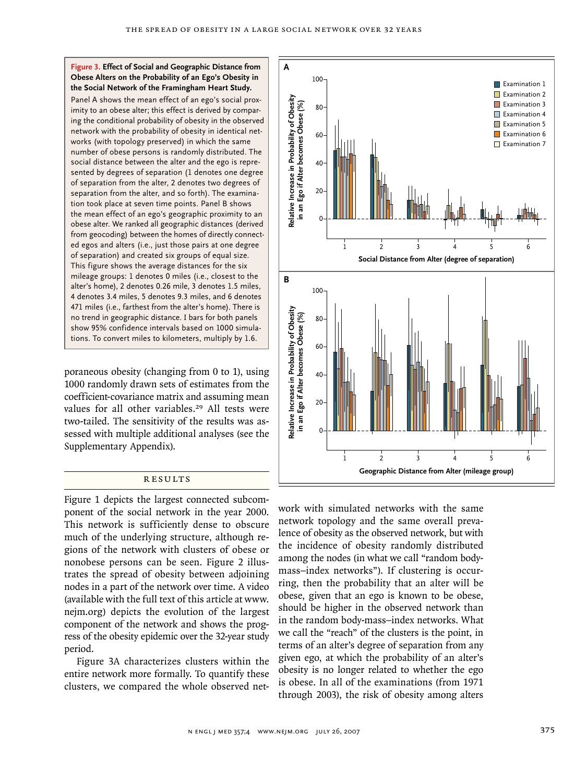### **Figure 3. Effect of Social and Geographic Distance from Obese Alters on the Probability of an Ego's Obesity in the Social Network of the Framingham Heart Study.**

Panel A shows the mean effect of an ego's social proximity to an obese alter; this effect is derived by comparing the conditional probability of obesity in the observed network with the probability of obesity in identical networks (with topology preserved) in which the same number of obese persons is randomly distributed. The social distance between the alter and the ego is represented by degrees of separation (1 denotes one degree of separation from the alter, 2 denotes two degrees of separation from the alter, and so forth). The examination took place at seven time points. Panel B shows the mean effect of an ego's geographic proximity to an obese alter. We ranked all geographic distances (derived from geocoding) between the homes of directly connected egos and alters (i.e., just those pairs at one degree of separation) and created six groups of equal size. This figure shows the average distances for the six mileage groups: 1 denotes 0 miles (i.e., closest to the alter's home), 2 denotes 0.26 mile, 3 denotes 1.5 miles, 4 denotes 3.4 miles, 5 denotes 9.3 miles, and 6 denotes 471 miles (i.e., farthest from the alter's home). There is no trend in geographic distance. I bars for both panels show 95% confidence intervals based on 1000 simulations. To convert miles to kilometers, multiply by 1.6.

poraneous obesity (changing from 0 to 1), using 1000 randomly drawn sets of estimates from the coefficient-covariance matrix and assuming mean values for all other variables.<sup>29</sup> All tests were two-tailed. The sensitivity of the results was assessed with multiple additional analyses (see the Supplementary Appendix).

# **RESULTS**

Figure 1 depicts the largest connected subcomponent of the social network in the year 2000. This network is sufficiently dense to obscure much of the underlying structure, although regions of the network with clusters of obese or nonobese persons can be seen. Figure 2 illustrates the spread of obesity between adjoining nodes in a part of the network over time. A video (available with the full text of this article at www. nejm.org) depicts the evolution of the largest component of the network and shows the progress of the obesity epidemic over the 32-year study period.

Figure 3A characterizes clusters within the entire network more formally. To quantify these clusters, we compared the whole observed net-



work with simulated networks with the same network topology and the same overall prevaexpressive to perturb the contract of the process of obesity as the observed network, but with the incidence of obesity randomly distributed among the nodes (in what we call "random bodyallows are house (in that the can raintent beer, mass-index networks"). If clustering is occurring, then the probability that an alter will be obese, given that an ego is known to be obese, should be higher in the observed network than in the random body-mass–index networks. What we call the "reach" of the clusters is the point, in terms of an alter's degree of separation from any given ego, at which the probability of an alter's obesity is no longer related to whether the ego is obese. In all of the examinations (from 1971 through 2003), the risk of obesity among alters icu in imulated naturarics with the same REG F  $\overline{\text{ov}}$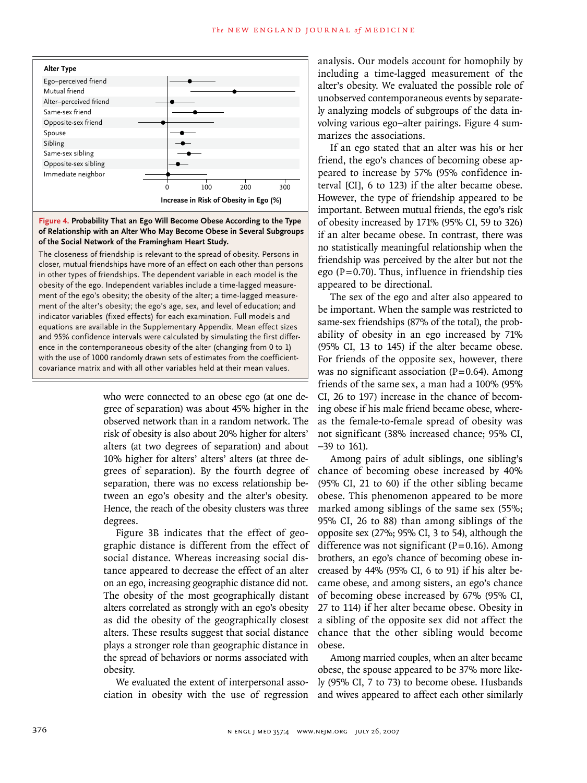

of the Social Network of the Framingham Heart Study. **Figure 4. Probability That an Ego Will Become Obese According to the Type of Relationship with an Alter Who May Become Obese in Several Subgroups** 

obesity of the ego. Independent variables include a time-lagged measure-The closeness of friendship is relevant to the spread of obesity. Persons in and 3370 connective intervals were calculated by simulating the inst direction. in other types of friendships. The dependent variable in each model is the  $\epsilon$ loser, mutual friendships have more of an effect on each other than persons essality of the ego's obesity; the obesity of the alter; a time-lagged measure-<br>ment of the ego's obesity; the obesity of the alter; a time-lagged measurement of the alter's obesity; the ego's age, sex, and level of education; and indicator variables (fixed effects) for each examination. Full models and **Please check carefully.** equations are available in the Supplementary Appendix. Mean effect sizes and 95% confidence intervals were calculated by simulating the first differwith the use of 1000 randomly drawn sets of estimates from the coefficientcovariance matrix and with all other variables held at their mean values.

> who were connected to an obese ego (at one degree of separation) was about 45% higher in the observed network than in a random network. The risk of obesity is also about 20% higher for alters' alters (at two degrees of separation) and about 10% higher for alters' alters' alters (at three degrees of separation). By the fourth degree of separation, there was no excess relationship between an ego's obesity and the alter's obesity. Hence, the reach of the obesity clusters was three degrees.

> Figure 3B indicates that the effect of geographic distance is different from the effect of social distance. Whereas increasing social distance appeared to decrease the effect of an alter on an ego, increasing geographic distance did not. The obesity of the most geographically distant alters correlated as strongly with an ego's obesity as did the obesity of the geographically closest alters. These results suggest that social distance plays a stronger role than geographic distance in the spread of behaviors or norms associated with obesity.

> We evaluated the extent of interpersonal association in obesity with the use of regression

analysis. Our models account for homophily by including a time-lagged measurement of the alter's obesity. We evaluated the possible role of unobserved contemporaneous events by separately analyzing models of subgroups of the data involving various ego–alter pairings. Figure 4 summarizes the associations.

If an ego stated that an alter was his or her friend, the ego's chances of becoming obese appeared to increase by 57% (95% confidence interval [CI], 6 to 123) if the alter became obese. However, the type of friendship appeared to be important. Between mutual friends, the ego's risk of obesity increased by 171% (95% CI, 59 to 326) if an alter became obese. In contrast, there was no statistically meaningful relationship when the friendship was perceived by the alter but not the ego ( $P=0.70$ ). Thus, influence in friendship ties appeared to be directional.

The sex of the ego and alter also appeared to be important. When the sample was restricted to same-sex friendships (87% of the total), the probability of obesity in an ego increased by 71% (95% CI, 13 to 145) if the alter became obese. For friends of the opposite sex, however, there was no significant association  $(P=0.64)$ . Among friends of the same sex, a man had a 100% (95% CI, 26 to 197) increase in the chance of becoming obese if his male friend became obese, whereas the female-to-female spread of obesity was not significant (38% increased chance; 95% CI, −39 to 161).

Among pairs of adult siblings, one sibling's chance of becoming obese increased by 40% (95% CI, 21 to 60) if the other sibling became obese. This phenomenon appeared to be more marked among siblings of the same sex (55%; 95% CI, 26 to 88) than among siblings of the opposite sex (27%; 95% CI, 3 to 54), although the difference was not significant  $(P=0.16)$ . Among brothers, an ego's chance of becoming obese increased by 44% (95% CI, 6 to 91) if his alter became obese, and among sisters, an ego's chance of becoming obese increased by 67% (95% CI, 27 to 114) if her alter became obese. Obesity in a sibling of the opposite sex did not affect the chance that the other sibling would become obese.

Among married couples, when an alter became obese, the spouse appeared to be 37% more likely (95% CI, 7 to 73) to become obese. Husbands and wives appeared to affect each other similarly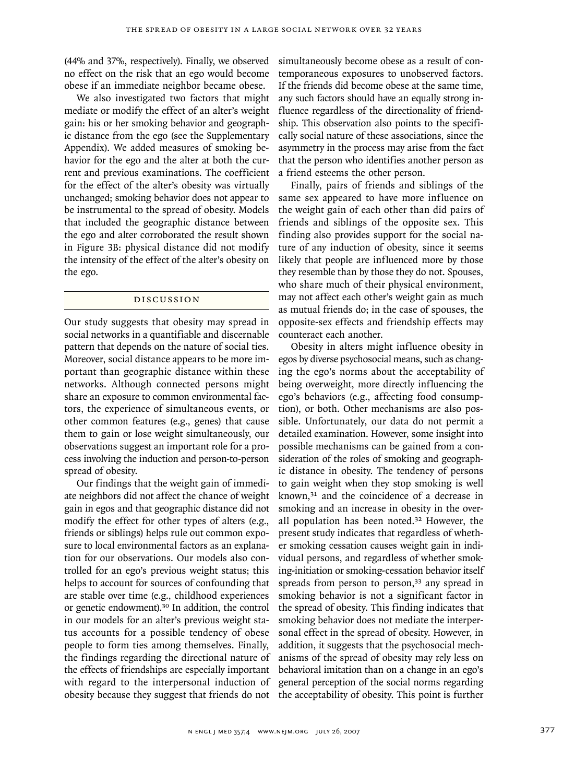(44% and 37%, respectively). Finally, we observed no effect on the risk that an ego would become obese if an immediate neighbor became obese.

We also investigated two factors that might mediate or modify the effect of an alter's weight gain: his or her smoking behavior and geographic distance from the ego (see the Supplementary Appendix). We added measures of smoking behavior for the ego and the alter at both the current and previous examinations. The coefficient for the effect of the alter's obesity was virtually unchanged; smoking behavior does not appear to be instrumental to the spread of obesity. Models that included the geographic distance between the ego and alter corroborated the result shown in Figure 3B: physical distance did not modify the intensity of the effect of the alter's obesity on the ego.

## Discussion

Our study suggests that obesity may spread in social networks in a quantifiable and discernable pattern that depends on the nature of social ties. Moreover, social distance appears to be more important than geographic distance within these networks. Although connected persons might share an exposure to common environmental factors, the experience of simultaneous events, or other common features (e.g., genes) that cause them to gain or lose weight simultaneously, our observations suggest an important role for a process involving the induction and person-to-person spread of obesity.

Our findings that the weight gain of immediate neighbors did not affect the chance of weight gain in egos and that geographic distance did not modify the effect for other types of alters (e.g., friends or siblings) helps rule out common exposure to local environmental factors as an explanation for our observations. Our models also controlled for an ego's previous weight status; this helps to account for sources of confounding that are stable over time (e.g., childhood experiences or genetic endowment).30 In addition, the control in our models for an alter's previous weight status accounts for a possible tendency of obese people to form ties among themselves. Finally, the findings regarding the directional nature of the effects of friendships are especially important with regard to the interpersonal induction of obesity because they suggest that friends do not simultaneously become obese as a result of contemporaneous exposures to unobserved factors. If the friends did become obese at the same time, any such factors should have an equally strong influence regardless of the directionality of friendship. This observation also points to the specifically social nature of these associations, since the asymmetry in the process may arise from the fact that the person who identifies another person as a friend esteems the other person.

Finally, pairs of friends and siblings of the same sex appeared to have more influence on the weight gain of each other than did pairs of friends and siblings of the opposite sex. This finding also provides support for the social nature of any induction of obesity, since it seems likely that people are influenced more by those they resemble than by those they do not. Spouses, who share much of their physical environment, may not affect each other's weight gain as much as mutual friends do; in the case of spouses, the opposite-sex effects and friendship effects may counteract each another.

Obesity in alters might influence obesity in egos by diverse psychosocial means, such as changing the ego's norms about the acceptability of being overweight, more directly influencing the ego's behaviors (e.g., affecting food consumption), or both. Other mechanisms are also possible. Unfortunately, our data do not permit a detailed examination. However, some insight into possible mechanisms can be gained from a consideration of the roles of smoking and geographic distance in obesity. The tendency of persons to gain weight when they stop smoking is well known,<sup>31</sup> and the coincidence of a decrease in smoking and an increase in obesity in the overall population has been noted.32 However, the present study indicates that regardless of whether smoking cessation causes weight gain in individual persons, and regardless of whether smoking-initiation or smoking-cessation behavior itself spreads from person to person,<sup>33</sup> any spread in smoking behavior is not a significant factor in the spread of obesity. This finding indicates that smoking behavior does not mediate the interpersonal effect in the spread of obesity. However, in addition, it suggests that the psychosocial mechanisms of the spread of obesity may rely less on behavioral imitation than on a change in an ego's general perception of the social norms regarding the acceptability of obesity. This point is further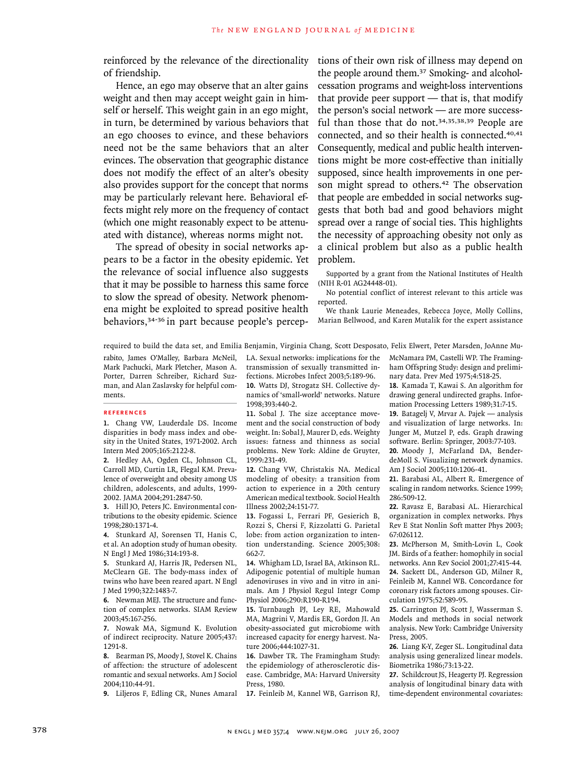reinforced by the relevance of the directionality of friendship.

Hence, an ego may observe that an alter gains weight and then may accept weight gain in himself or herself. This weight gain in an ego might, in turn, be determined by various behaviors that an ego chooses to evince, and these behaviors need not be the same behaviors that an alter evinces. The observation that geographic distance does not modify the effect of an alter's obesity also provides support for the concept that norms may be particularly relevant here. Behavioral effects might rely more on the frequency of contact (which one might reasonably expect to be attenuated with distance), whereas norms might not.

The spread of obesity in social networks appears to be a factor in the obesity epidemic. Yet the relevance of social influence also suggests that it may be possible to harness this same force to slow the spread of obesity. Network phenomena might be exploited to spread positive health behaviors,34-36 in part because people's perceptions of their own risk of illness may depend on the people around them.37 Smoking- and alcoholcessation programs and weight-loss interventions that provide peer support  $-$  that is, that modify the person's social network — are more successful than those that do not.34,35,38,39 People are connected, and so their health is connected.<sup>40,41</sup> Consequently, medical and public health interventions might be more cost-effective than initially supposed, since health improvements in one person might spread to others.<sup>42</sup> The observation that people are embedded in social networks suggests that both bad and good behaviors might spread over a range of social ties. This highlights the necessity of approaching obesity not only as a clinical problem but also as a public health problem.

Supported by a grant from the National Institutes of Health (NIH R-01 AG24448-01).

No potential conflict of interest relevant to this article was reported.

We thank Laurie Meneades, Rebecca Joyce, Molly Collins, Marian Bellwood, and Karen Mutalik for the expert assistance

required to build the data set, and Emilia Benjamin, Virginia Chang, Scott Desposato, Felix Elwert, Peter Marsden, JoAnne Mu-

rabito, James O'Malley, Barbara McNeil, Mark Pachucki, Mark Pletcher, Mason A. Porter, Darren Schreiber, Richard Suzman, and Alan Zaslavsky for helpful comments.

#### **References**

Chang VW, Lauderdale DS. Income **1.** disparities in body mass index and obesity in the United States, 1971-2002. Arch Intern Med 2005;165:2122-8.

2. Hedley AA, Ogden CL, Johnson CL, Carroll MD, Curtin LR, Flegal KM. Prevalence of overweight and obesity among US children, adolescents, and adults, 1999- 2002. JAMA 2004;291:2847-50.

Hill JO, Peters JC. Environmental con-**3.** tributions to the obesity epidemic. Science 1998;280:1371-4.

4. Stunkard AJ, Sorensen TI, Hanis C, et al. An adoption study of human obesity. N Engl J Med 1986;314:193-8.

Stunkard AJ, Harris JR, Pedersen NL, **5.** McClearn GE. The body-mass index of twins who have been reared apart. N Engl J Med 1990;322:1483-7.

Newman MEJ. The structure and func-**6.** tion of complex networks. SIAM Review 2003;45:167-256.

7. Nowak MA, Sigmund K. Evolution of indirect reciprocity. Nature 2005;437: 1291-8.

Bearman PS, Moody J, Stovel K. Chains **8.** of affection: the structure of adolescent romantic and sexual networks. Am J Sociol 2004;110:44-91.

Liljeros F, Edling CR, Nunes Amaral **9.**

LA. Sexual networks: implications for the transmission of sexually transmitted infections. Microbes Infect 2003;5:189-96. 10. Watts DJ, Strogatz SH. Collective dynamics of 'small-world' networks. Nature 1998;393:440-2.

11. Sobal J. The size acceptance movement and the social construction of body weight. In: Sobal J, Maurer D, eds. Weighty issues: fatness and thinness as social problems. New York: Aldine de Gruyter, 1999:231-49.

12. Chang VW, Christakis NA. Medical modeling of obesity: a transition from action to experience in a 20th century American medical textbook. Sociol Health Illness 2002;24:151-77.

13. Fogassi L, Ferrari PF, Gesierich B, Rozzi S, Chersi F, Rizzolatti G. Parietal lobe: from action organization to intention understanding. Science 2005;308: 662-7.

Whigham LD, Israel BA, Atkinson RL. **14.** Adipogenic potential of multiple human adenoviruses in vivo and in vitro in animals. Am J Physiol Regul Integr Comp Physiol 2006;290:R190-R194.

15. Turnbaugh PJ, Ley RE, Mahowald MA, Magrini V, Mardis ER, Gordon JI. An obesity-associated gut microbiome with increased capacity for energy harvest. Nature 2006;444:1027-31.

16. Dawber TR. The Framingham Study: the epidemiology of atherosclerotic disease. Cambridge, MA: Harvard University Press, 1980.

17. Feinleib M, Kannel WB, Garrison RJ,

McNamara PM, Castelli WP. The Framingham Offspring Study: design and preliminary data. Prev Med 1975;4:518-25.

18. Kamada T, Kawai S. An algorithm for drawing general undirected graphs. Information Processing Letters 1989;31:7-15.

19. Batagelj V, Mrvar A. Pajek — analysis and visualization of large networks. In: Junger M, Mutzel P, eds. Graph drawing software. Berlin: Springer, 2003:77-103.

20. Moody J, McFarland DA, BenderdeMoll S. Visualizing network dynamics. Am J Sociol 2005;110:1206-41.

21. Barabasi AL, Albert R. Emergence of scaling in random networks. Science 1999; 286:509-12.

22. Ravasz E, Barabasi AL. Hierarchical organization in complex networks. Phys Rev E Stat Nonlin Soft matter Phys 2003; 67:026112.

23. McPherson M, Smith-Lovin L, Cook JM. Birds of a feather: homophily in social networks. Ann Rev Sociol 2001;27:415-44. 24. Sackett DL, Anderson GD, Milner R, Feinleib M, Kannel WB. Concordance for coronary risk factors among spouses. Circulation 1975;52:589-95.

25. Carrington PJ, Scott J, Wasserman S. Models and methods in social network analysis. New York: Cambridge University Press, 2005.

26. Liang K-Y, Zeger SL. Longitudinal data analysis using generalized linear models. Biometrika 1986;73:13-22.

27. Schildcrout JS, Heagerty PJ. Regression analysis of longitudinal binary data with time-dependent environmental covariates: